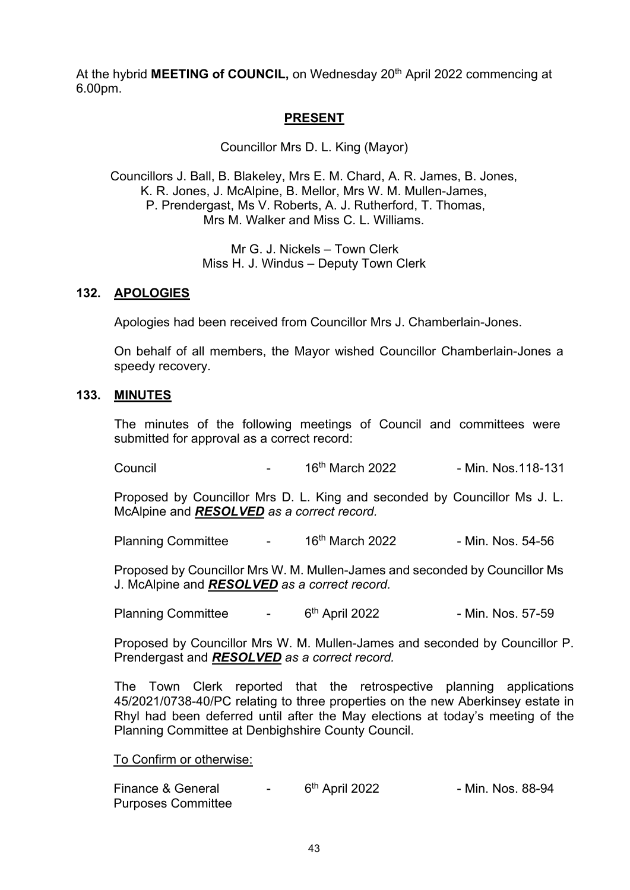At the hybrid **MEETING of COUNCIL**, on Wednesday 20<sup>th</sup> April 2022 commencing at 6.00pm.

# **PRESENT**

Councillor Mrs D. L. King (Mayor)

Councillors J. Ball, B. Blakeley, Mrs E. M. Chard, A. R. James, B. Jones, K. R. Jones, J. McAlpine, B. Mellor, Mrs W. M. Mullen-James, P. Prendergast, Ms V. Roberts, A. J. Rutherford, T. Thomas, Mrs M. Walker and Miss C. L. Williams.

> Mr G. J. Nickels – Town Clerk Miss H. J. Windus – Deputy Town Clerk

#### **132. APOLOGIES**

Apologies had been received from Councillor Mrs J. Chamberlain-Jones.

On behalf of all members, the Mayor wished Councillor Chamberlain-Jones a speedy recovery.

#### **133. MINUTES**

The minutes of the following meetings of Council and committees were submitted for approval as a correct record:

Council - 16th March 2022 - Min. Nos.118-131

Proposed by Councillor Mrs D. L. King and seconded by Councillor Ms J. L. McAlpine and *RESOLVED as a correct record.*

Planning Committee  $16<sup>th</sup>$  March 2022 - Min. Nos. 54-56

Proposed by Councillor Mrs W. M. Mullen-James and seconded by Councillor Ms J. McAlpine and *RESOLVED as a correct record.*

Planning Committee  $\qquad - 6^{th}$  April 2022 - Min. Nos. 57-59

Proposed by Councillor Mrs W. M. Mullen-James and seconded by Councillor P. Prendergast and *RESOLVED as a correct record.*

The Town Clerk reported that the retrospective planning applications 45/2021/0738-40/PC relating to three properties on the new Aberkinsey estate in Rhyl had been deferred until after the May elections at today's meeting of the Planning Committee at Denbighshire County Council.

To Confirm or otherwise:

| Finance & General         | 6 <sup>th</sup> April 2022 | - Min. Nos. 88-94 |
|---------------------------|----------------------------|-------------------|
| <b>Purposes Committee</b> |                            |                   |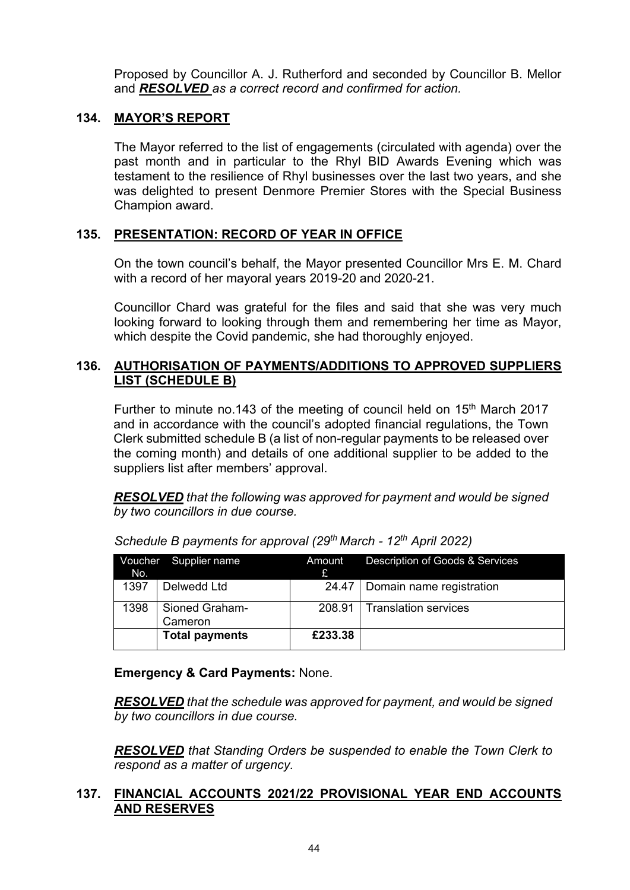Proposed by Councillor A. J. Rutherford and seconded by Councillor B. Mellor and *RESOLVED as a correct record and confirmed for action.*

# **134. MAYOR'S REPORT**

The Mayor referred to the list of engagements (circulated with agenda) over the past month and in particular to the Rhyl BID Awards Evening which was testament to the resilience of Rhyl businesses over the last two years, and she was delighted to present Denmore Premier Stores with the Special Business Champion award.

# **135. PRESENTATION: RECORD OF YEAR IN OFFICE**

On the town council's behalf, the Mayor presented Councillor Mrs E. M. Chard with a record of her mayoral years 2019-20 and 2020-21.

Councillor Chard was grateful for the files and said that she was very much looking forward to looking through them and remembering her time as Mayor, which despite the Covid pandemic, she had thoroughly enjoyed.

### **136. AUTHORISATION OF PAYMENTS/ADDITIONS TO APPROVED SUPPLIERS LIST (SCHEDULE B)**

Further to minute no.143 of the meeting of council held on 15<sup>th</sup> March 2017 and in accordance with the council's adopted financial regulations, the Town Clerk submitted schedule B (a list of non-regular payments to be released over the coming month) and details of one additional supplier to be added to the suppliers list after members' approval.

*RESOLVED that the following was approved for payment and would be signed by two councillors in due course.* 

| No.  | Voucher Supplier name     | Amount<br>Ĥ | Description of Goods & Services  |
|------|---------------------------|-------------|----------------------------------|
| 1397 | Delwedd Ltd               |             | 24.47   Domain name registration |
| 1398 | Sioned Graham-<br>Cameron | 208.91      | <b>Translation services</b>      |
|      | <b>Total payments</b>     | £233.38     |                                  |

*Schedule B payments for approval (29th March - 12th April 2022)*

 **Emergency & Card Payments:** None.

*RESOLVED that the schedule was approved for payment, and would be signed by two councillors in due course.* 

*RESOLVED that Standing Orders be suspended to enable the Town Clerk to respond as a matter of urgency.*

### **137. FINANCIAL ACCOUNTS 2021/22 PROVISIONAL YEAR END ACCOUNTS AND RESERVES**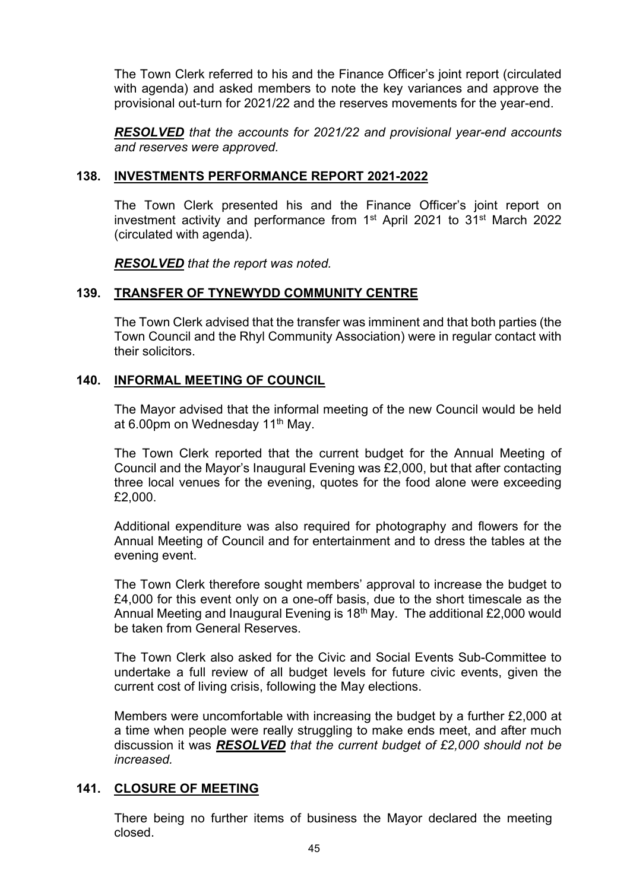The Town Clerk referred to his and the Finance Officer's joint report (circulated with agenda) and asked members to note the key variances and approve the provisional out-turn for 2021/22 and the reserves movements for the year-end.

*RESOLVED that the accounts for 2021/22 and provisional year-end accounts and reserves were approved.* 

### **138. INVESTMENTS PERFORMANCE REPORT 2021-2022**

The Town Clerk presented his and the Finance Officer's joint report on investment activity and performance from 1st April 2021 to 31st March 2022 (circulated with agenda).

*RESOLVED that the report was noted.*

### **139. TRANSFER OF TYNEWYDD COMMUNITY CENTRE**

The Town Clerk advised that the transfer was imminent and that both parties (the Town Council and the Rhyl Community Association) were in regular contact with their solicitors.

# **140. INFORMAL MEETING OF COUNCIL**

The Mayor advised that the informal meeting of the new Council would be held at 6.00pm on Wednesday 11<sup>th</sup> May.

The Town Clerk reported that the current budget for the Annual Meeting of Council and the Mayor's Inaugural Evening was £2,000, but that after contacting three local venues for the evening, quotes for the food alone were exceeding £2,000.

Additional expenditure was also required for photography and flowers for the Annual Meeting of Council and for entertainment and to dress the tables at the evening event.

The Town Clerk therefore sought members' approval to increase the budget to £4,000 for this event only on a one-off basis, due to the short timescale as the Annual Meeting and Inaugural Evening is  $18<sup>th</sup>$  May. The additional £2,000 would be taken from General Reserves.

The Town Clerk also asked for the Civic and Social Events Sub-Committee to undertake a full review of all budget levels for future civic events, given the current cost of living crisis, following the May elections.

Members were uncomfortable with increasing the budget by a further £2,000 at a time when people were really struggling to make ends meet, and after much discussion it was *RESOLVED that the current budget of £2,000 should not be increased.* 

### **141. CLOSURE OF MEETING**

There being no further items of business the Mayor declared the meeting closed.